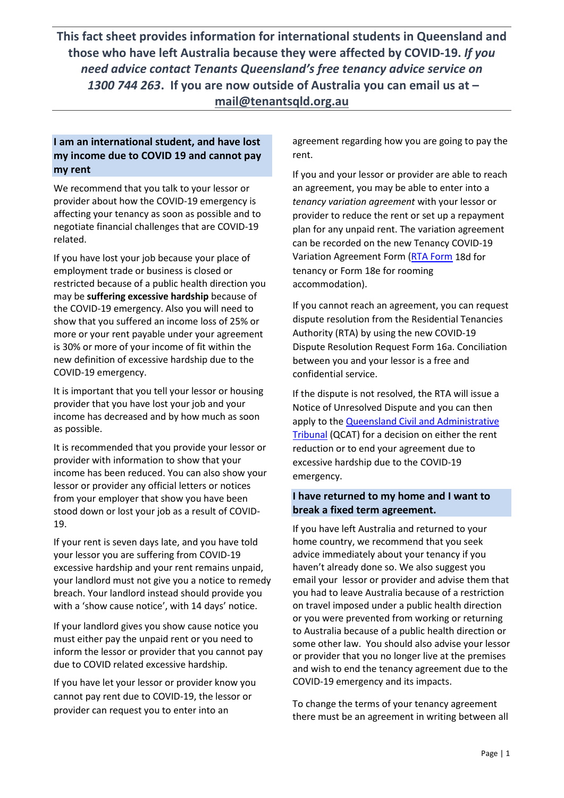**This fact sheet provides information for international students in Queensland and those who have left Australia because they were affected by COVID-19.** *If you need advice contact Tenants Queensland's free tenancy advice service on 1300 744 263***. If you are now outside of Australia you can email us at – [mail@tenantsqld.org.au](mailto:mail@tenantsqld.org.au)**

### **I am an international student, and have lost my income due to COVID 19 and cannot pay my rent**

We recommend that you talk to your lessor or provider about how the COVID-19 emergency is affecting your tenancy as soon as possible and to negotiate financial challenges that are COVID-19 related.

If you have lost your job because your place of employment trade or business is closed or restricted because of a public health direction you may be **suffering excessive hardship** because of the COVID-19 emergency. Also you will need to show that you suffered an income loss of 25% or more or your rent payable under your agreement is 30% or more of your income of fit within the new definition of excessive hardship due to the COVID-19 emergency.

It is important that you tell your lessor or housing provider that you have lost your job and your income has decreased and by how much as soon as possible.

It is recommended that you provide your lessor or provider with information to show that your income has been reduced. You can also show your lessor or provider any official letters or notices from your employer that show you have been stood down or lost your job as a result of COVID-19.

If your rent is seven days late, and you have told your lessor you are suffering from COVID-19 excessive hardship and your rent remains unpaid, your landlord must not give you a notice to remedy breach. Your landlord instead should provide you with a 'show cause notice', with 14 days' notice.

If your landlord gives you show cause notice you must either pay the unpaid rent or you need to inform the lessor or provider that you cannot pay due to COVID related excessive hardship.

If you have let your lessor or provider know you cannot pay rent due to COVID-19, the lessor or provider can request you to enter into an

agreement regarding how you are going to pay the rent.

If you and your lessor or provider are able to reach an agreement, you may be able to enter into a *tenancy variation agreement* with your lessor or provider to reduce the rent or set up a repayment plan for any unpaid rent. The variation agreement can be recorded on the new Tenancy COVID-19 Variation Agreement Form [\(RTA Form](https://www.rta.qld.gov.au/Forms-and-publications/Forms) 18d for tenancy or Form 18e for rooming accommodation).

If you cannot reach an agreement, you can request dispute resolution from the Residential Tenancies Authority (RTA) by using the new COVID-19 Dispute Resolution Request Form 16a. Conciliation between you and your lessor is a free and confidential service.

If the dispute is not resolved, the RTA will issue a Notice of Unresolved Dispute and you can then apply to the **Queensland Civil and Administrative** [Tribunal](https://www.qcat.qld.gov.au/) (QCAT) for a decision on either the rent reduction or to end your agreement due to excessive hardship due to the COVID-19 emergency.

### **I have returned to my home and I want to break a fixed term agreement.**

If you have left Australia and returned to your home country, we recommend that you seek advice immediately about your tenancy if you haven't already done so. We also suggest you email your lessor or provider and advise them that you had to leave Australia because of a restriction on travel imposed under a public health direction or you were prevented from working or returning to Australia because of a public health direction or some other law. You should also advise your lessor or provider that you no longer live at the premises and wish to end the tenancy agreement due to the COVID-19 emergency and its impacts.

To change the terms of your tenancy agreement there must be an agreement in writing between all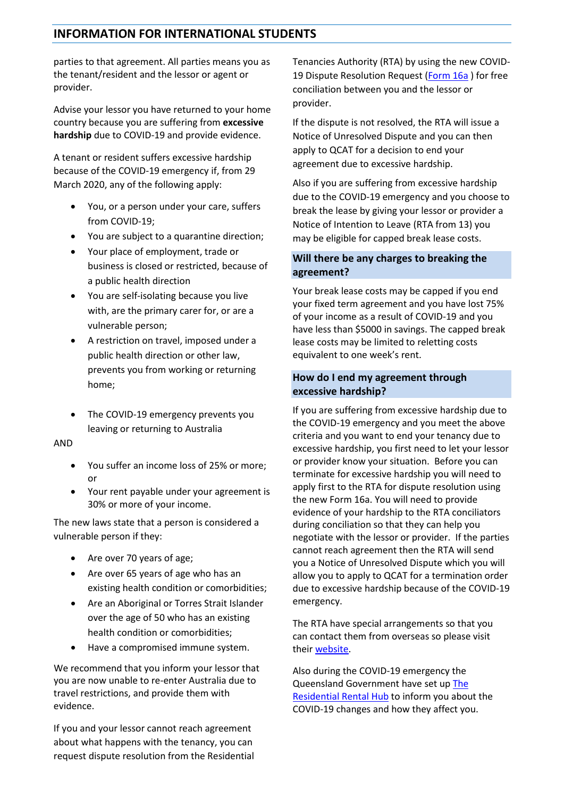# **INFORMATION FOR INTERNATIONAL STUDENTS**

parties to that agreement. All parties means you as the tenant/resident and the lessor or agent or provider.

Advise your lessor you have returned to your home country because you are suffering from **excessive hardship** due to COVID-19 and provide evidence.

A tenant or resident suffers excessive hardship because of the COVID-19 emergency if, from 29 March 2020, any of the following apply:

- You, or a person under your care, suffers from COVID-19;
- You are subject to a quarantine direction;
- Your place of employment, trade or business is closed or restricted, because of a public health direction
- You are self-isolating because you live with, are the primary carer for, or are a vulnerable person;
- A restriction on travel, imposed under a public health direction or other law, prevents you from working or returning home;
- The COVID-19 emergency prevents you leaving or returning to Australia

#### AND

- You suffer an income loss of 25% or more; or
- Your rent payable under your agreement is 30% or more of your income.

The new laws state that a person is considered a vulnerable person if they:

- Are over 70 years of age:
- Are over 65 years of age who has an existing health condition or comorbidities;
- Are an Aboriginal or Torres Strait Islander over the age of 50 who has an existing health condition or comorbidities;
- Have a compromised immune system.

We recommend that you inform your lessor that you are now unable to re-enter Australia due to travel restrictions, and provide them with evidence.

If you and your lessor cannot reach agreement about what happens with the tenancy, you can request dispute resolution from the Residential Tenancies Authority (RTA) by using the new COVID-19 Dispute Resolution Request [\(Form 16a](https://www.rta.qld.gov.au/Forms-and-publications/Forms/Forms-for-general-tenancies/COVID-Dispute-resolution-request-Form-16a)) for free conciliation between you and the lessor or provider.

If the dispute is not resolved, the RTA will issue a Notice of Unresolved Dispute and you can then apply to QCAT for a decision to end your agreement due to excessive hardship.

Also if you are suffering from excessive hardship due to the COVID-19 emergency and you choose to break the lease by giving your lessor or provider a Notice of Intention to Leave (RTA from 13) you may be eligible for capped break lease costs.

### **Will there be any charges to breaking the agreement?**

Your break lease costs may be capped if you end your fixed term agreement and you have lost 75% of your income as a result of COVID-19 and you have less than \$5000 in savings. The capped break lease costs may be limited to reletting costs equivalent to one week's rent.

#### **How do I end my agreement through excessive hardship?**

If you are suffering from excessive hardship due to the COVID-19 emergency and you meet the above criteria and you want to end your tenancy due to excessive hardship, you first need to let your lessor or provider know your situation. Before you can terminate for excessive hardship you will need to apply first to the RTA for dispute resolution using the new Form 16a. You will need to provide evidence of your hardship to the RTA conciliators during conciliation so that they can help you negotiate with the lessor or provider. If the parties cannot reach agreement then the RTA will send you a Notice of Unresolved Dispute which you will allow you to apply to QCAT for a termination order due to excessive hardship because of the COVID-19 emergency.

The RTA have special arrangements so that you can contact them from overseas so please visit their [website.](https://www.rta.qld.gov.au/Contact)

Also during the COVID-19 emergency the Queensland Government have set up [The](https://www.covid19.qld.gov.au/the-hub)  [Residential Rental Hub](https://www.covid19.qld.gov.au/the-hub) to inform you about the COVID-19 changes and how they affect you.